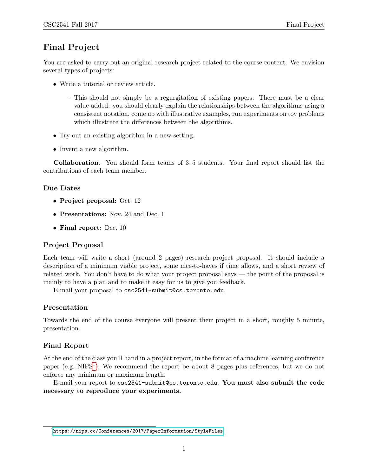## Final Project

You are asked to carry out an original research project related to the course content. We envision several types of projects:

- Write a tutorial or review article.
	- This should not simply be a regurgitation of existing papers. There must be a clear value-added: you should clearly explain the relationships between the algorithms using a consistent notation, come up with illustrative examples, run experiments on toy problems which illustrate the differences between the algorithms.
- Try out an existing algorithm in a new setting.
- Invent a new algorithm.

Collaboration. You should form teams of 3–5 students. Your final report should list the contributions of each team member.

#### Due Dates

- Project proposal: Oct. 12
- Presentations: Nov. 24 and Dec. 1
- Final report: Dec. 10

#### Project Proposal

Each team will write a short (around 2 pages) research project proposal. It should include a description of a minimum viable project, some nice-to-haves if time allows, and a short review of related work. You don't have to do what your project proposal says — the point of the proposal is mainly to have a plan and to make it easy for us to give you feedback.

E-mail your proposal to csc2541-submit@cs.toronto.edu.

#### Presentation

Towards the end of the course everyone will present their project in a short, roughly 5 minute, presentation.

#### Final Report

At the end of the class you'll hand in a project report, in the format of a machine learning conference paper (e.g. NIPS<sup>[1](#page-0-0)</sup>). We recommend the report be about 8 pages plus references, but we do not enforce any minimum or maximum length.

E-mail your report to csc2541-submit@cs.toronto.edu. You must also submit the code necessary to reproduce your experiments.

<span id="page-0-0"></span> $^{\rm 1}$ <https://nips.cc/Conferences/2017/PaperInformation/StyleFiles>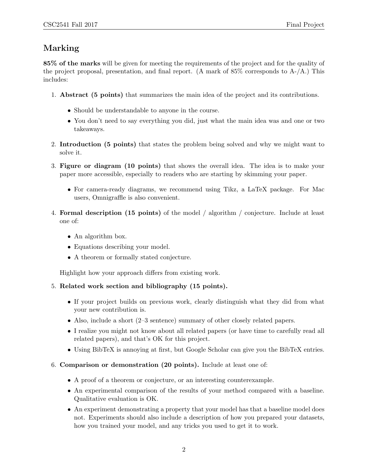# Marking

85% of the marks will be given for meeting the requirements of the project and for the quality of the project proposal, presentation, and final report. (A mark of 85% corresponds to A-/A.) This includes:

- 1. Abstract (5 points) that summarizes the main idea of the project and its contributions.
	- Should be understandable to anyone in the course.
	- You don't need to say everything you did, just what the main idea was and one or two takeaways.
- 2. Introduction (5 points) that states the problem being solved and why we might want to solve it.
- 3. Figure or diagram (10 points) that shows the overall idea. The idea is to make your paper more accessible, especially to readers who are starting by skimming your paper.
	- For camera-ready diagrams, we recommend using Tikz, a LaTeX package. For Mac users, Omnigraffle is also convenient.
- 4. Formal description (15 points) of the model / algorithm / conjecture. Include at least one of:
	- An algorithm box.
	- Equations describing your model.
	- A theorem or formally stated conjecture.

Highlight how your approach differs from existing work.

- 5. Related work section and bibliography (15 points).
	- If your project builds on previous work, clearly distinguish what they did from what your new contribution is.
	- Also, include a short (2–3 sentence) summary of other closely related papers.
	- I realize you might not know about all related papers (or have time to carefully read all related papers), and that's OK for this project.
	- Using BibTeX is annoying at first, but Google Scholar can give you the BibTeX entries.
- 6. Comparison or demonstration (20 points). Include at least one of:
	- A proof of a theorem or conjecture, or an interesting counterexample.
	- An experimental comparison of the results of your method compared with a baseline. Qualitative evaluation is OK.
	- An experiment demonstrating a property that your model has that a baseline model does not. Experiments should also include a description of how you prepared your datasets, how you trained your model, and any tricks you used to get it to work.